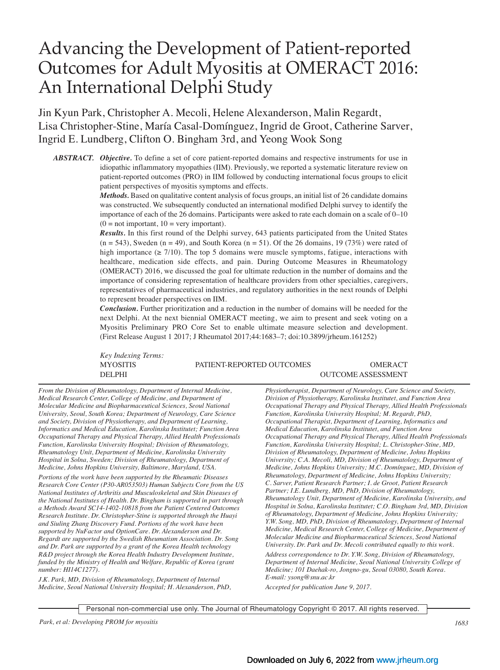# Advancing the Development of Patient-reported Outcomes for Adult Myositis at OMERACT 2016: An International Delphi Study

Jin Kyun Park, Christopher A. Mecoli, Helene Alexanderson, Malin Regardt, Lisa Christopher-Stine, María Casal-Domínguez, Ingrid de Groot, Catherine Sarver, Ingrid E. Lundberg, Clifton O. Bingham 3rd, and Yeong Wook Song

*ABSTRACT. Objective.* To define a set of core patient-reported domains and respective instruments for use in idiopathic inflammatory myopathies (IIM). Previously, we reported a systematic literature review on patient-reported outcomes (PRO) in IIM followed by conducting international focus groups to elicit patient perspectives of myositis symptoms and effects.

> *Methods.* Based on qualitative content analysis of focus groups, an initial list of 26 candidate domains was constructed. We subsequently conducted an international modified Delphi survey to identify the importance of each of the 26 domains. Participants were asked to rate each domain on a scale of 0–10  $(0 = not important, 10 = very important).$

> *Results.* In this first round of the Delphi survey, 643 patients participated from the United States  $(n = 543)$ , Sweden  $(n = 49)$ , and South Korea  $(n = 51)$ . Of the 26 domains, 19 (73%) were rated of high importance ( $\geq 7/10$ ). The top 5 domains were muscle symptoms, fatigue, interactions with healthcare, medication side effects, and pain. During Outcome Measures in Rheumatology (OMERACT) 2016, we discussed the goal for ultimate reduction in the number of domains and the importance of considering representation of healthcare providers from other specialties, caregivers, representatives of pharmaceutical industries, and regulatory authorities in the next rounds of Delphi to represent broader perspectives on IIM.

> *Conclusion.* Further prioritization and a reduction in the number of domains will be needed for the next Delphi. At the next biennial OMERACT meeting, we aim to present and seek voting on a Myositis Preliminary PRO Core Set to enable ultimate measure selection and development. (First Release August 1 2017; J Rheumatol 2017;44:1683–7; doi:10.3899/jrheum.161252)

*Key Indexing Terms:*

MYOSITIS PATIENT-REPORTED OUTCOMES OMERACT DELPHI OUTCOME ASSESSMENT

*From the Division of Rheumatology, Department of Internal Medicine, Medical Research Center, College of Medicine, and Department of Molecular Medicine and Biopharmaceutical Sciences, Seoul National University, Seoul, South Korea; Department of Neurology, Care Science and Society, Division of Physiotherapy, and Department of Learning, Informatics and Medical Education, Karolinska Institutet; Function Area Occupational Therapy and Physical Therapy, Allied Health Professionals Function, Karolinska University Hospital; Division of Rheumatology, Rheumatology Unit, Department of Medicine, Karolinska University Hospital in Solna, Sweden; Division of Rheumatology, Department of Medicine, Johns Hopkins University, Baltimore, Maryland, USA.*

*Portions of the work have been supported by the Rheumatic Diseases Research Core Center (P30-AR053503) Human Subjects Core from the US National Institutes of Arthritis and Musculoskeletal and Skin Diseases of the National Institutes of Health. Dr. Bingham is supported in part through a Methods Award SC14-1402-10818 from the Patient Centered Outcomes Research Institute. Dr. Christopher-Stine is supported through the Huayi and Siuling Zhang Discovery Fund. Portions of the work have been supported by NuFactor and OptionCare. Dr. Alexanderson and Dr. Regardt are supported by the Swedish Rheumatism Association. Dr. Song and Dr. Park are supported by a grant of the Korea Health technology R&D project through the Korea Health Industry Development Institute, funded by the Ministry of Health and Welfare, Republic of Korea (grant number: HI14C1277).* 

*J.K. Park, MD, Division of Rheumatology, Department of Internal Medicine, Seoul National University Hospital; H. Alexanderson, PhD,* *Physiotherapist, Department of Neurology, Care Science and Society, Division of Physiotherapy, Karolinska Institutet, and Function Area Occupational Therapy and Physical Therapy, Allied Health Professionals Function, Karolinska University Hospital; M. Regardt, PhD, Occupational Therapist, Department of Learning, Informatics and Medical Education, Karolinska Institutet, and Function Area Occupational Therapy and Physical Therapy, Allied Health Professionals Function, Karolinska University Hospital; L. Christopher-Stine, MD, Division of Rheumatology, Department of Medicine, Johns Hopkins University; C.A. Mecoli, MD, Division of Rheumatology, Department of Medicine, Johns Hopkins University; M.C. Domínguez, MD, Division of Rheumatology, Department of Medicine, Johns Hopkins University; C. Sarver, Patient Research Partner; I. de Groot, Patient Research Partner; I.E. Lundberg, MD, PhD, Division of Rheumatology, Rheumatology Unit, Department of Medicine, Karolinska University, and Hospital in Solna, Karolinska Institutet; C.O. Bingham 3rd, MD, Division of Rheumatology, Department of Medicine, Johns Hopkins University; Y.W. Song, MD, PhD, Division of Rheumatology, Department of Internal Medicine, Medical Research Center, College of Medicine, Department of Molecular Medicine and Biopharmaceutical Sciences, Seoul National University. Dr. Park and Dr. Mecoli contributed equally to this work.*

*Address correspondence to Dr. Y.W. Song, Division of Rheumatology, Department of Internal Medicine, Seoul National University College of Medicine; 101 Daehak-ro, Jongno-gu, Seoul 03080, South Korea. E-mail: ysong@snu.ac.kr*

*Accepted for publication June 9, 2017.*

Personal non-commercial use only. The Journal of Rheumatology Copyright © 2017. All rights reserved.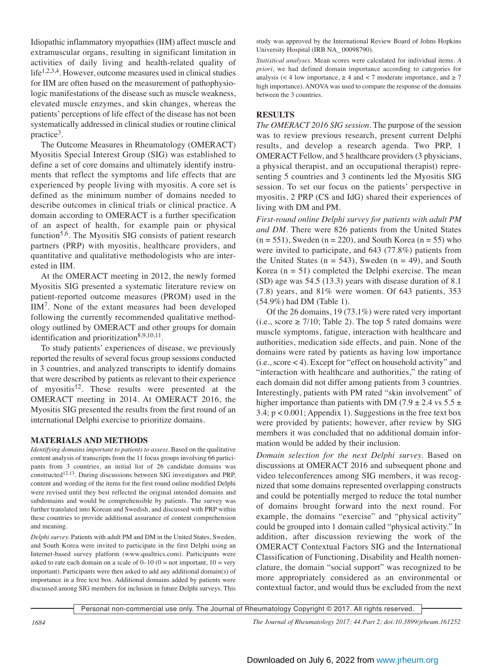Idiopathic inflammatory myopathies (IIM) affect muscle and extramuscular organs, resulting in significant limitation in activities of daily living and health-related quality of life<sup>1,2,3,4</sup>. However, outcome measures used in clinical studies for IIM are often based on the measurement of pathophysiologic manifestations of the disease such as muscle weakness, elevated muscle enzymes, and skin changes, whereas the patients' perceptions of life effect of the disease has not been systematically addressed in clinical studies or routine clinical practice3.

 The Outcome Measures in Rheumatology (OMERACT) Myositis Special Interest Group (SIG) was established to define a set of core domains and ultimately identify instruments that reflect the symptoms and life effects that are experienced by people living with myositis. A core set is defined as the minimum number of domains needed to describe outcomes in clinical trials or clinical practice. A domain according to OMERACT is a further specification of an aspect of health, for example pain or physical function<sup>5,6</sup>. The Myositis SIG consists of patient research partners (PRP) with myositis, healthcare providers, and quantitative and qualitative methodologists who are interested in IIM.

 At the OMERACT meeting in 2012, the newly formed Myositis SIG presented a systematic literature review on patient-reported outcome measures (PROM) used in the IIM7. None of the extant measures had been developed following the currently recommended qualitative methodology outlined by OMERACT and other groups for domain identification and prioritization<sup>8,9,10,11</sup>.

 To study patients' experiences of disease, we previously reported the results of several focus group sessions conducted in 3 countries, and analyzed transcripts to identify domains that were described by patients as relevant to their experience of myositis<sup>12</sup>. These results were presented at the OMERACT meeting in 2014. At OMERACT 2016, the Myositis SIG presented the results from the first round of an international Delphi exercise to prioritize domains.

# **MATERIALS AND METHODS**

*Identifying domains important to patients to assess.* Based on the qualitative content analysis of transcripts from the 11 focus groups involving 66 participants from 3 countries, an initial list of 26 candidate domains was constructed<sup>12,13</sup>. During discussions between SIG investigators and PRP, content and wording of the items for the first round online modified Delphi were revised until they best reflected the original intended domains and subdomains and would be comprehensible by patients. The survey was further translated into Korean and Swedish, and discussed with PRP within these countries to provide additional assurance of content comprehension and meaning.

*Delphi survey.* Patients with adult PM and DM in the United States, Sweden, and South Korea were invited to participate in the first Delphi using an Internet-based survey platform (www.qualtrics.com). Participants were asked to rate each domain on a scale of  $0-10$  ( $0 =$  not important,  $10 =$  very important). Participants were then asked to add any additional domain(s) of importance in a free text box. Additional domains added by patients were discussed among SIG members for inclusion in future Delphi surveys. This

study was approved by the International Review Board of Johns Hopkins University Hospital (IRB NA\_ 00098790).

*Statistical analyses.* Mean scores were calculated for individual items. *A priori*, we had defined domain importance according to categories for analysis (< 4 low importance,  $\ge$  4 and < 7 moderate importance, and  $\ge$  7 high importance). ANOVA was used to compare the response of the domains between the 3 countries.

# **RESULTS**

*The OMERACT 2016 SIG session.* The purpose of the session was to review previous research, present current Delphi results, and develop a research agenda. Two PRP, 1 OMERACT Fellow, and 5 healthcare providers (3 physicians, a physical therapist, and an occupational therapist) representing 5 countries and 3 continents led the Myositis SIG session. To set our focus on the patients' perspective in myositis, 2 PRP (CS and IdG) shared their experiences of living with DM and PM.

*First-round online Delphi survey for patients with adult PM and DM.* There were 826 patients from the United States  $(n = 551)$ , Sweden  $(n = 220)$ , and South Korea  $(n = 55)$  who were invited to participate, and 643 (77.8%) patients from the United States ( $n = 543$ ), Sweden ( $n = 49$ ), and South Korea ( $n = 51$ ) completed the Delphi exercise. The mean (SD) age was 54.5 (13.3) years with disease duration of 8.1 (7.8) years, and 81% were women. Of 643 patients, 353 (54.9%) had DM (Table 1).

 Of the 26 domains, 19 (73.1%) were rated very important (i.e., score ≥ 7/10; Table 2). The top 5 rated domains were muscle symptoms, fatigue, interaction with healthcare and authorities, medication side effects, and pain. None of the domains were rated by patients as having low importance (i.e., score < 4). Except for "effect on household activity" and "interaction with healthcare and authorities," the rating of each domain did not differ among patients from 3 countries. Interestingly, patients with PM rated "skin involvement" of higher importance than patients with DM (7.9  $\pm$  2.4 vs 5.5  $\pm$ 3.4; p < 0.001; Appendix 1). Suggestions in the free text box were provided by patients; however, after review by SIG members it was concluded that no additional domain information would be added by their inclusion.

*Domain selection for the next Delphi survey.* Based on discussions at OMERACT 2016 and subsequent phone and video teleconferences among SIG members, it was recognized that some domains represented overlapping constructs and could be potentially merged to reduce the total number of domains brought forward into the next round. For example, the domains "exercise" and "physical activity" could be grouped into 1 domain called "physical activity." In addition, after discussion reviewing the work of the OMERACT Contextual Factors SIG and the International Classification of Functioning, Disability and Health nomenclature, the domain "social support" was recognized to be more appropriately considered as an environmental or contextual factor, and would thus be excluded from the next

Personal non-commercial use only. The Journal of Rheumatology Copyright © 2017. All rights reserved.

*1684 The Journal of Rheumatology 2017; 44:Part 2; doi:10.3899/jrheum.161252*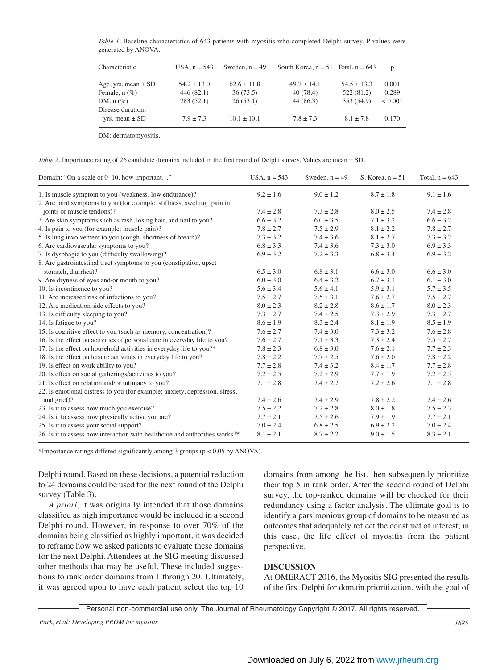*Table 1.* Baseline characteristics of 643 patients with myositis who completed Delphi survey. P values were generated by ANOVA.

| Characteristic          | $USA.n = 543$   | Sweden, $n = 49$ | South Korea, $n = 51$ Total, $n = 643$ |                 | p       |
|-------------------------|-----------------|------------------|----------------------------------------|-----------------|---------|
| Age, yrs, mean $\pm$ SD | $54.2 \pm 13.0$ | $62.6 \pm 11.8$  | $49.7 \pm 14.1$                        | $54.5 \pm 13.3$ | 0.001   |
| Female, $n$ $(\%)$      | 446(82.1)       | 36(73.5)         | 40(78.4)                               | 522 (81.2)      | 0.289   |
| DM, $n$ $(\%)$          | 283(52.1)       | 26(53.1)         | 44 (86.3)                              | 353 (54.9)      | < 0.001 |
| Disease duration,       |                 |                  |                                        |                 |         |
| $vrs$ , mean $\pm$ SD   | $7.9 \pm 7.3$   | $10.1 \pm 10.1$  | $7.8 \pm 7.3$                          | $8.1 \pm 7.8$   | 0.170   |

DM: dermatomyositis.

*Table 2.* Importance rating of 26 candidate domains included in the first round of Delphi survey. Values are mean  $\pm$  SD.

| Domain: "On a scale of 0–10, how important"                                 | $USA, n = 543$ | Sweden, $n = 49$ | S. Korea, $n = 51$ | Total, $n = 643$ |
|-----------------------------------------------------------------------------|----------------|------------------|--------------------|------------------|
| 1. Is muscle symptom to you (weakness, low endurance)?                      | $9.2 \pm 1.6$  | $9.0 \pm 1.2$    | $8.7 \pm 1.8$      | $9.1 \pm 1.6$    |
| 2. Are joint symptoms to you (for example: stiffness, swelling, pain in     |                |                  |                    |                  |
| joints or muscle tendons)?                                                  | $7.4 \pm 2.8$  | $7.3 \pm 2.8$    | $8.0 \pm 2.5$      | $7.4 \pm 2.8$    |
| 3. Are skin symptoms such as rash, losing hair, and nail to you?            | $6.6 \pm 3.2$  | $6.0 \pm 3.5$    | $7.1 \pm 3.2$      | $6.6 \pm 3.2$    |
| 4. Is pain to you (for example: muscle pain)?                               | $7.8 \pm 2.7$  | $7.5 \pm 2.9$    | $8.1 \pm 2.2$      | $7.8 \pm 2.7$    |
| 5. Is lung involvement to you (cough, shortness of breath)?                 | $7.3 \pm 3.2$  | $7.4 \pm 3.6$    | $8.1 \pm 2.7$      | $7.3 \pm 3.2$    |
| 6. Are cardiovascular symptoms to you?                                      | $6.8 \pm 3.3$  | $7.4 \pm 3.6$    | $7.3 \pm 3.0$      | $6.9 \pm 3.3$    |
| 7. Is dysphagia to you (difficulty swallowing)?                             | $6.9 \pm 3.2$  | $7.2 \pm 3.3$    | $6.8 \pm 3.4$      | $6.9 \pm 3.2$    |
| 8. Are gastrointestinal tract symptoms to you (constipation, upset          |                |                  |                    |                  |
| stomach, diarrhea)?                                                         | $6.5 \pm 3.0$  | $6.8 \pm 3.1$    | $6.6 \pm 3.0$      | $6.6 \pm 3.0$    |
| 9. Are dryness of eyes and/or mouth to you?                                 | $6.0 \pm 3.0$  | $6.4 \pm 3.2$    | $6.7 \pm 3.1$      | $6.1 \pm 3.0$    |
| 10. Is incontinence to you?                                                 | $5.6 \pm 3.4$  | $5.6 \pm 4.1$    | $5.9 \pm 3.1$      | $5.7 \pm 3.5$    |
| 11. Are increased risk of infections to you?                                | $7.5 \pm 2.7$  | $7.5 \pm 3.1$    | $7.6 \pm 2.7$      | $7.5 \pm 2.7$    |
| 12. Are medication side effects to you?                                     | $8.0 \pm 2.3$  | $8.2 \pm 2.8$    | $8.6 \pm 1.7$      | $8.0 \pm 2.3$    |
| 13. Is difficulty sleeping to you?                                          | $7.3 \pm 2.7$  | $7.4 \pm 2.5$    | $7.3 \pm 2.9$      | $7.3 \pm 2.7$    |
| 14. Is fatigue to you?                                                      | $8.6 \pm 1.9$  | $8.3 \pm 2.4$    | $8.1 \pm 1.9$      | $8.5 \pm 1.9$    |
| 15. Is cognitive effect to you (such as memory, concentration)?             | $7.6 \pm 2.7$  | $7.4 \pm 3.0$    | $7.3 \pm 3.2$      | $7.6 \pm 2.8$    |
| 16. Is the effect on activities of personal care in everyday life to you?   | $7.6 \pm 2.7$  | $7.1 \pm 3.3$    | $7.3 \pm 2.4$      | $7.5 \pm 2.7$    |
| 17. Is the effect on household activities in everyday life to you?*         | $7.8 \pm 2.3$  | $6.8 \pm 3.0$    | $7.6 \pm 2.1$      | $7.7 \pm 2.3$    |
| 18. Is the effect on leisure activities in everyday life to you?            | $7.8 \pm 2.2$  | $7.7 \pm 2.5$    | $7.6 \pm 2.0$      | $7.8 \pm 2.2$    |
| 19. Is effect on work ability to you?                                       | $7.7 \pm 2.8$  | $7.4 \pm 3.2$    | $8.4 \pm 1.7$      | $7.7 \pm 2.8$    |
| 20. Is effect on social gatherings/activities to you?                       | $7.2 \pm 2.5$  | $7.2 \pm 2.9$    | $7.7 \pm 1.9$      | $7.2 \pm 2.5$    |
| 21. Is effect on relation and/or intimacy to you?                           | $7.1 \pm 2.8$  | $7.4 \pm 2.7$    | $7.2 \pm 2.6$      | $7.1 \pm 2.8$    |
| 22. Is emotional distress to you (for example: anxiety, depression, stress, |                |                  |                    |                  |
| and grief)?                                                                 | $7.4 \pm 2.6$  | $7.4 \pm 2.9$    | $7.8 \pm 2.2$      | $7.4 \pm 2.6$    |
| 23. Is it to assess how much you exercise?                                  | $7.5 \pm 2.2$  | $7.2 \pm 2.8$    | $8.0 \pm 1.8$      | $7.5 \pm 2.3$    |
| 24. Is it to assess how physically active you are?                          | $7.7 \pm 2.1$  | $7.5 \pm 2.6$    | $7.9 \pm 1.9$      | $7.7 \pm 2.1$    |
| 25. Is it to assess your social support?                                    | $7.0 \pm 2.4$  | $6.8 \pm 2.5$    | $6.9 \pm 2.2$      | $7.0 \pm 2.4$    |
| 26. Is it to assess how interaction with healthcare and authorities works?* | $8.1 \pm 2.1$  | $8.7 \pm 2.2$    | $9.0 \pm 1.5$      | $8.3 \pm 2.1$    |

\*Importance ratings differed significantly among 3 groups (p < 0.05 by ANOVA).

Delphi round. Based on these decisions, a potential reduction to 24 domains could be used for the next round of the Delphi survey (Table 3).

 *A priori*, it was originally intended that those domains classified as high importance would be included in a second Delphi round. However, in response to over 70% of the domains being classified as highly important, it was decided to reframe how we asked patients to evaluate these domains for the next Delphi. Attendees at the SIG meeting discussed other methods that may be useful. These included suggestions to rank order domains from 1 through 20. Ultimately, it was agreed upon to have each patient select the top 10 domains from among the list, then subsequently prioritize their top 5 in rank order. After the second round of Delphi survey, the top-ranked domains will be checked for their redundancy using a factor analysis. The ultimate goal is to identify a parsimonious group of domains to be measured as outcomes that adequately reflect the construct of interest; in this case, the life effect of myositis from the patient perspective.

## **DISCUSSION**

At OMERACT 2016, the Myositis SIG presented the results of the first Delphi for domain prioritization, with the goal of

Personal non-commercial use only. The Journal of Rheumatology Copyright © 2017. All rights reserved.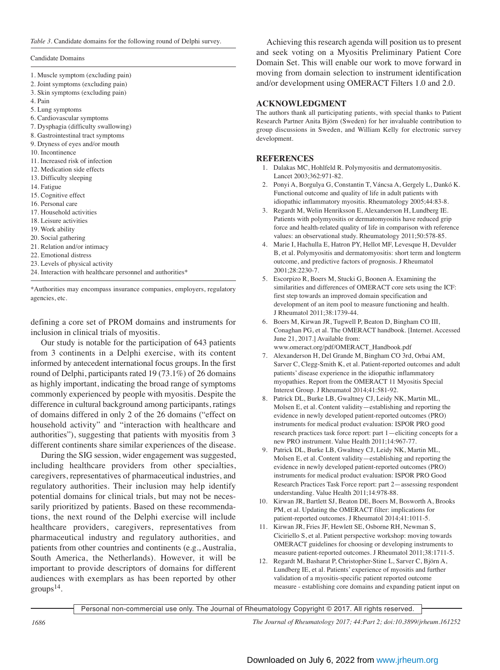#### Candidate Domains

- 1. Muscle symptom (excluding pain)
- 2. Joint symptoms (excluding pain)
- 3. Skin symptoms (excluding pain)
- 4. Pain
- 5. Lung symptoms
- 6. Cardiovascular symptoms
- 7. Dysphagia (difficulty swallowing)
- 8. Gastrointestinal tract symptoms
- 9. Dryness of eyes and/or mouth
- 10. Incontinence
- 11. Increased risk of infection
- 12. Medication side effects
- 13. Difficulty sleeping
- 14. Fatigue
- 15. Cognitive effect
- 16. Personal care
- 17. Household activities
- 18. Leisure activities
- 19. Work ability
- 20. Social gathering
- 21. Relation and/or intimacy
- 22. Emotional distress
- 23. Levels of physical activity
- 24. Interaction with healthcare personnel and authorities\*

\*Authorities may encompass insurance companies, employers, regulatory agencies, etc.

defining a core set of PROM domains and instruments for inclusion in clinical trials of myositis.

 Our study is notable for the participation of 643 patients from 3 continents in a Delphi exercise, with its content informed by antecedent international focus groups. In the first round of Delphi, participants rated 19 (73.1%) of 26 domains as highly important, indicating the broad range of symptoms commonly experienced by people with myositis. Despite the difference in cultural background among participants, ratings of domains differed in only 2 of the 26 domains ("effect on household activity" and "interaction with healthcare and authorities"), suggesting that patients with myositis from 3 different continents share similar experiences of the disease.

 During the SIG session, wider engagement was suggested, including healthcare providers from other specialties, caregivers, representatives of pharmaceutical industries, and regulatory authorities. Their inclusion may help identify potential domains for clinical trials, but may not be necessarily prioritized by patients. Based on these recommendations, the next round of the Delphi exercise will include healthcare providers, caregivers, representatives from pharmaceutical industry and regulatory authorities, and patients from other countries and continents (e.g., Australia, South America, the Netherlands). However, it will be important to provide descriptors of domains for different audiences with exemplars as has been reported by other  $groups<sup>14</sup>$ .

 Achieving this research agenda will position us to present and seek voting on a Myositis Preliminary Patient Core Domain Set. This will enable our work to move forward in moving from domain selection to instrument identification and/or development using OMERACT Filters 1.0 and 2.0.

# **ACKNOWLEDGMENT**

The authors thank all participating patients, with special thanks to Patient Research Partner Anita Björn (Sweden) for her invaluable contribution to group discussions in Sweden, and William Kelly for electronic survey development.

### **REFERENCES**

- 1. Dalakas MC, Hohlfeld R. Polymyositis and dermatomyositis. Lancet 2003;362:971-82.
- 2. Ponyi A, Borgulya G, Constantin T, Váncsa A, Gergely L, Dankó K. Functional outcome and quality of life in adult patients with idiopathic inflammatory myositis. Rheumatology 2005;44:83-8.
- 3. Regardt M, Welin Henriksson E, Alexanderson H, Lundberg IE. Patients with polymyositis or dermatomyositis have reduced grip force and health-related quality of life in comparison with reference values: an observational study. Rheumatology 2011;50:578-85.
- 4. Marie I, Hachulla E, Hatron PY, Hellot MF, Levesque H, Devulder B, et al. Polymyositis and dermatomyositis: short term and longterm outcome, and predictive factors of prognosis. J Rheumatol 2001;28:2230-7.
- 5. Escorpizo R, Boers M, Stucki G, Boonen A. Examining the similarities and differences of OMERACT core sets using the ICF: first step towards an improved domain specification and development of an item pool to measure functioning and health. J Rheumatol 2011;38:1739-44.
- 6. Boers M, Kirwan JR, Tugwell P, Beaton D, Bingham CO III, Conaghan PG, et al. The OMERACT handbook. [Internet. Accessed June 21, 2017.] Available from: www.omeract.org/pdf/OMERACT\_Handbook.pdf
- 7. Alexanderson H, Del Grande M, Bingham CO 3rd, Orbai AM, Sarver C, Clegg-Smith K, et al. Patient-reported outcomes and adult patients' disease experience in the idiopathic inflammatory myopathies. Report from the OMERACT 11 Myositis Special Interest Group. J Rheumatol 2014;41:581-92.
- 8. Patrick DL, Burke LB, Gwaltney CJ, Leidy NK, Martin ML, Molsen E, et al. Content validity—establishing and reporting the evidence in newly developed patient-reported outcomes (PRO) instruments for medical product evaluation: ISPOR PRO good research practices task force report: part 1—eliciting concepts for a new PRO instrument. Value Health 2011;14:967-77.
- 9. Patrick DL, Burke LB, Gwaltney CJ, Leidy NK, Martin ML, Molsen E, et al. Content validity—establishing and reporting the evidence in newly developed patient-reported outcomes (PRO) instruments for medical product evaluation: ISPOR PRO Good Research Practices Task Force report: part 2—assessing respondent understanding. Value Health 2011;14:978-88.
- 10. Kirwan JR, Bartlett SJ, Beaton DE, Boers M, Bosworth A, Brooks PM, et al. Updating the OMERACT filter: implications for patient-reported outcomes. J Rheumatol 2014;41:1011-5.
- 11. Kirwan JR, Fries JF, Hewlett SE, Osborne RH, Newman S, Ciciriello S, et al. Patient perspective workshop: moving towards OMERACT guidelines for choosing or developing instruments to measure patient-reported outcomes. J Rheumatol 2011;38:1711-5.
- 12. Regardt M, Basharat P, Christopher-Stine L, Sarver C, Björn A, Lundberg IE, et al. Patients' experience of myositis and further validation of a myositis-specific patient reported outcome measure - establishing core domains and expanding patient input on

Personal non-commercial use only. The Journal of Rheumatology Copyright © 2017. All rights reserved.

*1686 The Journal of Rheumatology 2017; 44:Part 2; doi:10.3899/jrheum.161252*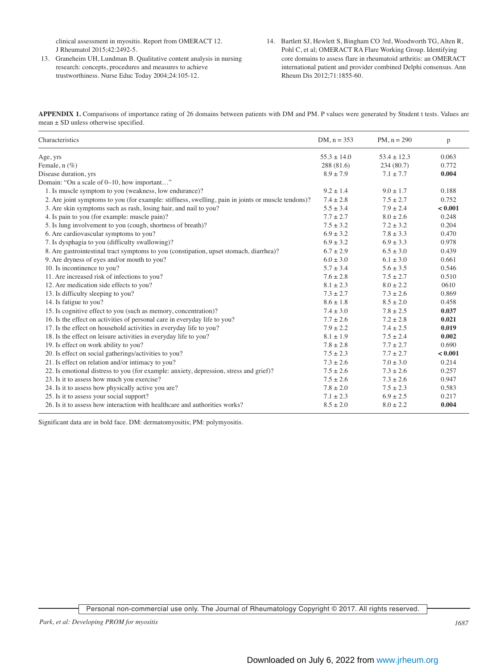clinical assessment in myositis. Report from OMERACT 12. J Rheumatol 2015;42:2492-5.

- 13. Graneheim UH, Lundman B. Qualitative content analysis in nursing research: concepts, procedures and measures to achieve trustworthiness. Nurse Educ Today 2004;24:105-12.
- 14. Bartlett SJ, Hewlett S, Bingham CO 3rd, Woodworth TG, Alten R, Pohl C, et al; OMERACT RA Flare Working Group. Identifying core domains to assess flare in rheumatoid arthritis: an OMERACT international patient and provider combined Delphi consensus. Ann Rheum Dis 2012;71:1855-60.

**APPENDIX 1.** Comparisons of importance rating of 26 domains between patients with DM and PM. P values were generated by Student t tests. Values are mean ± SD unless otherwise specified.

| Characteristics                                                                                    | $DM, n = 353$   | $PM, n = 290$   | p       |
|----------------------------------------------------------------------------------------------------|-----------------|-----------------|---------|
| Age, yrs                                                                                           | $55.3 \pm 14.0$ | $53.4 \pm 12.3$ | 0.063   |
| Female, $n$ $(\%)$                                                                                 | 288 (81.6)      | 234(80.7)       | 0.772   |
| Disease duration, yrs                                                                              | $8.9 \pm 7.9$   | $7.1 \pm 7.7$   | 0.004   |
| Domain: "On a scale of 0–10, how important"                                                        |                 |                 |         |
| 1. Is muscle symptom to you (weakness, low endurance)?                                             | $9.2 \pm 1.4$   | $9.0 \pm 1.7$   | 0.188   |
| 2. Are joint symptoms to you (for example: stiffness, swelling, pain in joints or muscle tendons)? | $7.4 \pm 2.8$   | $7.5 \pm 2.7$   | 0.752   |
| 3. Are skin symptoms such as rash, losing hair, and nail to you?                                   | $5.5 \pm 3.4$   | $7.9 \pm 2.4$   | < 0.001 |
| 4. Is pain to you (for example: muscle pain)?                                                      | $7.7 \pm 2.7$   | $8.0 \pm 2.6$   | 0.248   |
| 5. Is lung involvement to you (cough, shortness of breath)?                                        | $7.5 \pm 3.2$   | $7.2 \pm 3.2$   | 0.204   |
| 6. Are cardiovascular symptoms to you?                                                             | $6.9 \pm 3.2$   | $7.8 \pm 3.3$   | 0.470   |
| 7. Is dysphagia to you (difficulty swallowing)?                                                    | $6.9 \pm 3.2$   | $6.9 \pm 3.3$   | 0.978   |
| 8. Are gastrointestinal tract symptoms to you (constipation, upset stomach, diarrhea)?             | $6.7 \pm 2.9$   | $6.5 \pm 3.0$   | 0.439   |
| 9. Are dryness of eyes and/or mouth to you?                                                        | $6.0 \pm 3.0$   | $6.1 \pm 3.0$   | 0.661   |
| 10. Is incontinence to you?                                                                        | $5.7 \pm 3.4$   | $5.6 \pm 3.5$   | 0.546   |
| 11. Are increased risk of infections to you?                                                       | $7.6 \pm 2.8$   | $7.5 \pm 2.7$   | 0.510   |
| 12. Are medication side effects to you?                                                            | $8.1 \pm 2.3$   | $8.0 \pm 2.2$   | 0610    |
| 13. Is difficulty sleeping to you?                                                                 | $7.3 \pm 2.7$   | $7.3 \pm 2.6$   | 0.869   |
| 14. Is fatigue to you?                                                                             | $8.6 \pm 1.8$   | $8.5 \pm 2.0$   | 0.458   |
| 15. Is cognitive effect to you (such as memory, concentration)?                                    | $7.4 \pm 3.0$   | $7.8 \pm 2.5$   | 0.037   |
| 16. Is the effect on activities of personal care in everyday life to you?                          | $7.7 \pm 2.6$   | $7.2 \pm 2.8$   | 0.021   |
| 17. Is the effect on household activities in everyday life to you?                                 | $7.9 \pm 2.2$   | $7.4 \pm 2.5$   | 0.019   |
| 18. Is the effect on leisure activities in everyday life to you?                                   | $8.1 \pm 1.9$   | $7.5 \pm 2.4$   | 0.002   |
| 19. Is effect on work ability to you?                                                              | $7.8 \pm 2.8$   | $7.7 \pm 2.7$   | 0.690   |
| 20. Is effect on social gatherings/activities to you?                                              | $7.5 \pm 2.3$   | $7.7 \pm 2.7$   | < 0.001 |
| 21. Is effect on relation and/or intimacy to you?                                                  | $7.3 \pm 2.6$   | $7.0 \pm 3.0$   | 0.214   |
| 22. Is emotional distress to you (for example: anxiety, depression, stress and grief)?             | $7.5 \pm 2.6$   | $7.3 \pm 2.6$   | 0.257   |
| 23. Is it to assess how much you exercise?                                                         | $7.5 \pm 2.6$   | $7.3 \pm 2.6$   | 0.947   |
| 24. Is it to assess how physically active you are?                                                 | $7.8 \pm 2.0$   | $7.5 \pm 2.3$   | 0.583   |
| 25. Is it to assess your social support?                                                           | $7.1 \pm 2.3$   | $6.9 \pm 2.5$   | 0.217   |
| 26. Is it to assess how interaction with healthcare and authorities works?                         | $8.5 \pm 2.0$   | $8.0 \pm 2.2$   | 0.004   |

Significant data are in bold face. DM: dermatomyositis; PM: polymyositis.

Personal non-commercial use only. The Journal of Rheumatology Copyright © 2017. All rights reserved.